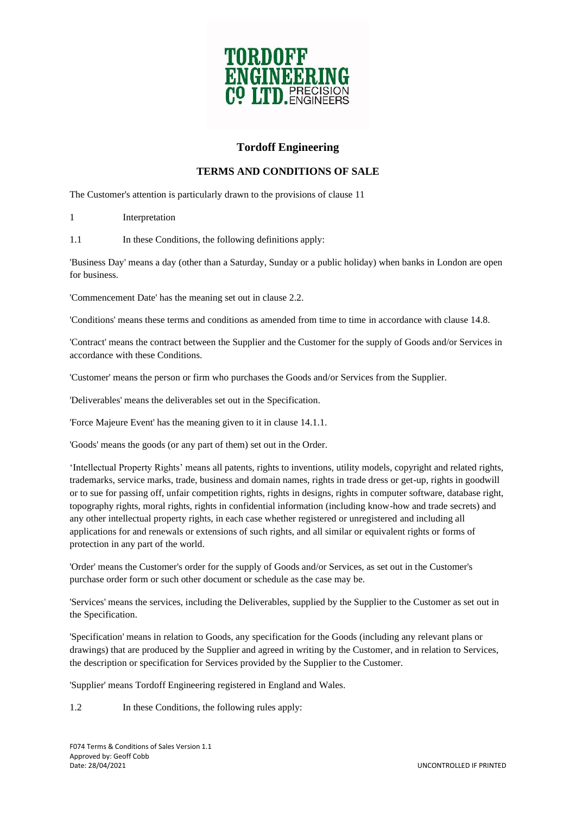

# **Tordoff Engineering**

## **TERMS AND CONDITIONS OF SALE**

The Customer's attention is particularly drawn to the provisions of clause 11

1 Interpretation

1.1 In these Conditions, the following definitions apply:

'Business Day' means a day (other than a Saturday, Sunday or a public holiday) when banks in London are open for business.

'Commencement Date' has the meaning set out in clause 2.2.

'Conditions' means these terms and conditions as amended from time to time in accordance with clause 14.8.

'Contract' means the contract between the Supplier and the Customer for the supply of Goods and/or Services in accordance with these Conditions.

'Customer' means the person or firm who purchases the Goods and/or Services from the Supplier.

'Deliverables' means the deliverables set out in the Specification.

'Force Majeure Event' has the meaning given to it in clause 14.1.1.

'Goods' means the goods (or any part of them) set out in the Order.

'Intellectual Property Rights' means all patents, rights to inventions, utility models, copyright and related rights, trademarks, service marks, trade, business and domain names, rights in trade dress or get-up, rights in goodwill or to sue for passing off, unfair competition rights, rights in designs, rights in computer software, database right, topography rights, moral rights, rights in confidential information (including know-how and trade secrets) and any other intellectual property rights, in each case whether registered or unregistered and including all applications for and renewals or extensions of such rights, and all similar or equivalent rights or forms of protection in any part of the world.

'Order' means the Customer's order for the supply of Goods and/or Services, as set out in the Customer's purchase order form or such other document or schedule as the case may be.

'Services' means the services, including the Deliverables, supplied by the Supplier to the Customer as set out in the Specification.

'Specification' means in relation to Goods, any specification for the Goods (including any relevant plans or drawings) that are produced by the Supplier and agreed in writing by the Customer, and in relation to Services, the description or specification for Services provided by the Supplier to the Customer.

'Supplier' means Tordoff Engineering registered in England and Wales.

1.2 In these Conditions, the following rules apply: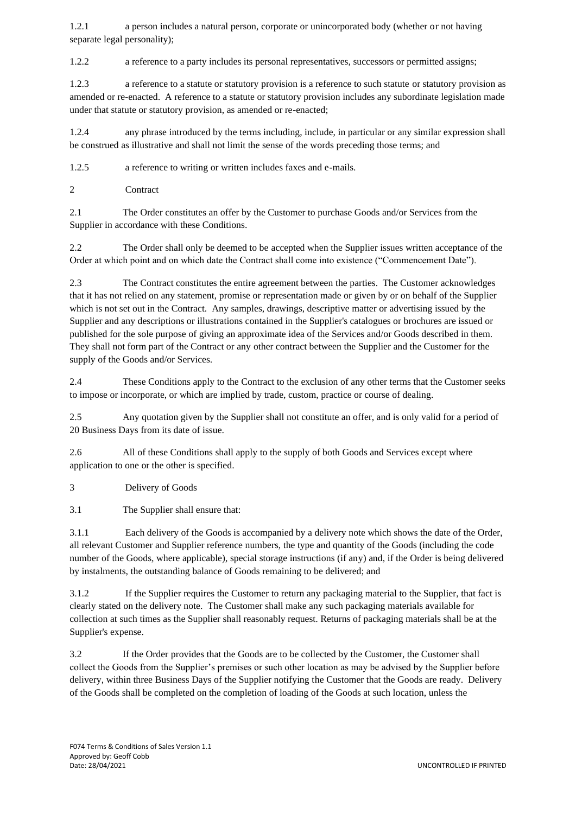1.2.1 a person includes a natural person, corporate or unincorporated body (whether or not having separate legal personality);

1.2.2 a reference to a party includes its personal representatives, successors or permitted assigns;

1.2.3 a reference to a statute or statutory provision is a reference to such statute or statutory provision as amended or re-enacted. A reference to a statute or statutory provision includes any subordinate legislation made under that statute or statutory provision, as amended or re-enacted;

1.2.4 any phrase introduced by the terms including, include, in particular or any similar expression shall be construed as illustrative and shall not limit the sense of the words preceding those terms; and

1.2.5 a reference to writing or written includes faxes and e-mails.

2 Contract

2.1 The Order constitutes an offer by the Customer to purchase Goods and/or Services from the Supplier in accordance with these Conditions.

2.2 The Order shall only be deemed to be accepted when the Supplier issues written acceptance of the Order at which point and on which date the Contract shall come into existence ("Commencement Date").

2.3 The Contract constitutes the entire agreement between the parties. The Customer acknowledges that it has not relied on any statement, promise or representation made or given by or on behalf of the Supplier which is not set out in the Contract. Any samples, drawings, descriptive matter or advertising issued by the Supplier and any descriptions or illustrations contained in the Supplier's catalogues or brochures are issued or published for the sole purpose of giving an approximate idea of the Services and/or Goods described in them. They shall not form part of the Contract or any other contract between the Supplier and the Customer for the supply of the Goods and/or Services.

2.4 These Conditions apply to the Contract to the exclusion of any other terms that the Customer seeks to impose or incorporate, or which are implied by trade, custom, practice or course of dealing.

2.5 Any quotation given by the Supplier shall not constitute an offer, and is only valid for a period of 20 Business Days from its date of issue.

2.6 All of these Conditions shall apply to the supply of both Goods and Services except where application to one or the other is specified.

3 Delivery of Goods

3.1 The Supplier shall ensure that:

3.1.1 Each delivery of the Goods is accompanied by a delivery note which shows the date of the Order, all relevant Customer and Supplier reference numbers, the type and quantity of the Goods (including the code number of the Goods, where applicable), special storage instructions (if any) and, if the Order is being delivered by instalments, the outstanding balance of Goods remaining to be delivered; and

3.1.2 If the Supplier requires the Customer to return any packaging material to the Supplier, that fact is clearly stated on the delivery note. The Customer shall make any such packaging materials available for collection at such times as the Supplier shall reasonably request. Returns of packaging materials shall be at the Supplier's expense.

3.2 If the Order provides that the Goods are to be collected by the Customer, the Customer shall collect the Goods from the Supplier's premises or such other location as may be advised by the Supplier before delivery, within three Business Days of the Supplier notifying the Customer that the Goods are ready. Delivery of the Goods shall be completed on the completion of loading of the Goods at such location, unless the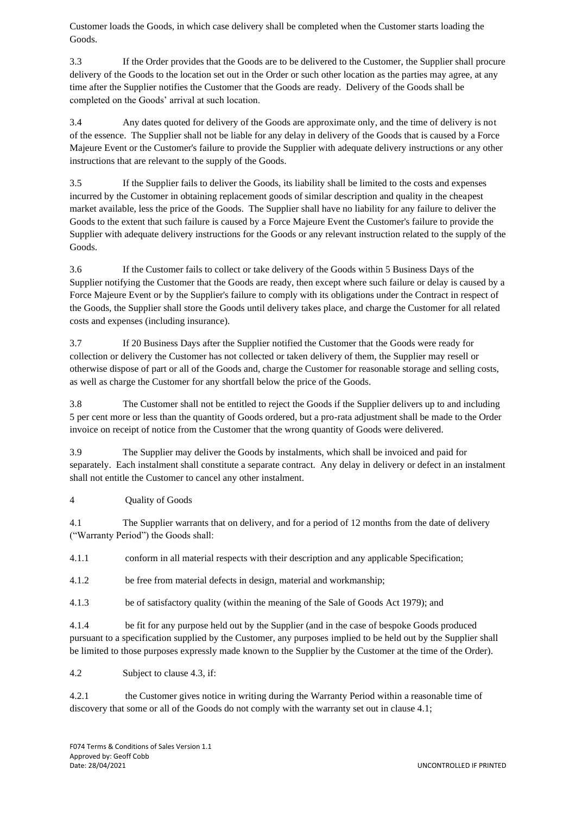Customer loads the Goods, in which case delivery shall be completed when the Customer starts loading the Goods.

3.3 If the Order provides that the Goods are to be delivered to the Customer, the Supplier shall procure delivery of the Goods to the location set out in the Order or such other location as the parties may agree, at any time after the Supplier notifies the Customer that the Goods are ready. Delivery of the Goods shall be completed on the Goods' arrival at such location.

3.4 Any dates quoted for delivery of the Goods are approximate only, and the time of delivery is not of the essence. The Supplier shall not be liable for any delay in delivery of the Goods that is caused by a Force Majeure Event or the Customer's failure to provide the Supplier with adequate delivery instructions or any other instructions that are relevant to the supply of the Goods.

3.5 If the Supplier fails to deliver the Goods, its liability shall be limited to the costs and expenses incurred by the Customer in obtaining replacement goods of similar description and quality in the cheapest market available, less the price of the Goods. The Supplier shall have no liability for any failure to deliver the Goods to the extent that such failure is caused by a Force Majeure Event the Customer's failure to provide the Supplier with adequate delivery instructions for the Goods or any relevant instruction related to the supply of the Goods.

3.6 If the Customer fails to collect or take delivery of the Goods within 5 Business Days of the Supplier notifying the Customer that the Goods are ready, then except where such failure or delay is caused by a Force Majeure Event or by the Supplier's failure to comply with its obligations under the Contract in respect of the Goods, the Supplier shall store the Goods until delivery takes place, and charge the Customer for all related costs and expenses (including insurance).

3.7 If 20 Business Days after the Supplier notified the Customer that the Goods were ready for collection or delivery the Customer has not collected or taken delivery of them, the Supplier may resell or otherwise dispose of part or all of the Goods and, charge the Customer for reasonable storage and selling costs, as well as charge the Customer for any shortfall below the price of the Goods.

3.8 The Customer shall not be entitled to reject the Goods if the Supplier delivers up to and including 5 per cent more or less than the quantity of Goods ordered, but a pro-rata adjustment shall be made to the Order invoice on receipt of notice from the Customer that the wrong quantity of Goods were delivered.

3.9 The Supplier may deliver the Goods by instalments, which shall be invoiced and paid for separately. Each instalment shall constitute a separate contract. Any delay in delivery or defect in an instalment shall not entitle the Customer to cancel any other instalment.

# 4 Quality of Goods

4.1 The Supplier warrants that on delivery, and for a period of 12 months from the date of delivery ("Warranty Period") the Goods shall:

4.1.1 conform in all material respects with their description and any applicable Specification;

4.1.2 be free from material defects in design, material and workmanship;

4.1.3 be of satisfactory quality (within the meaning of the Sale of Goods Act 1979); and

4.1.4 be fit for any purpose held out by the Supplier (and in the case of bespoke Goods produced pursuant to a specification supplied by the Customer, any purposes implied to be held out by the Supplier shall be limited to those purposes expressly made known to the Supplier by the Customer at the time of the Order).

4.2 Subject to clause 4.3, if:

4.2.1 the Customer gives notice in writing during the Warranty Period within a reasonable time of discovery that some or all of the Goods do not comply with the warranty set out in clause 4.1;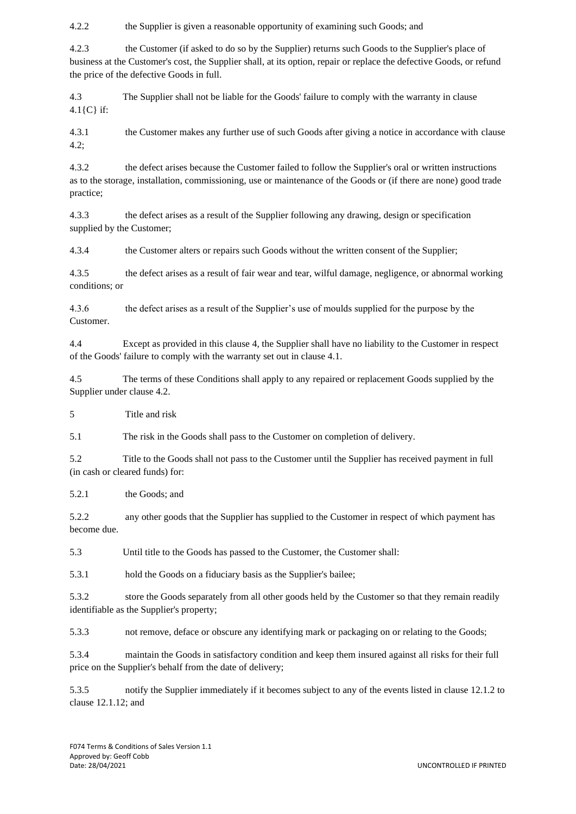4.2.2 the Supplier is given a reasonable opportunity of examining such Goods; and

4.2.3 the Customer (if asked to do so by the Supplier) returns such Goods to the Supplier's place of business at the Customer's cost, the Supplier shall, at its option, repair or replace the defective Goods, or refund the price of the defective Goods in full.

4.3 The Supplier shall not be liable for the Goods' failure to comply with the warranty in clause 4.1{C} if:

4.3.1 the Customer makes any further use of such Goods after giving a notice in accordance with clause  $4.2$ ;

4.3.2 the defect arises because the Customer failed to follow the Supplier's oral or written instructions as to the storage, installation, commissioning, use or maintenance of the Goods or (if there are none) good trade practice;

4.3.3 the defect arises as a result of the Supplier following any drawing, design or specification supplied by the Customer;

4.3.4 the Customer alters or repairs such Goods without the written consent of the Supplier;

4.3.5 the defect arises as a result of fair wear and tear, wilful damage, negligence, or abnormal working conditions; or

4.3.6 the defect arises as a result of the Supplier's use of moulds supplied for the purpose by the Customer.

4.4 Except as provided in this clause 4, the Supplier shall have no liability to the Customer in respect of the Goods' failure to comply with the warranty set out in clause 4.1.

4.5 The terms of these Conditions shall apply to any repaired or replacement Goods supplied by the Supplier under clause 4.2.

5 Title and risk

5.1 The risk in the Goods shall pass to the Customer on completion of delivery.

5.2 Title to the Goods shall not pass to the Customer until the Supplier has received payment in full (in cash or cleared funds) for:

5.2.1 the Goods; and

5.2.2 any other goods that the Supplier has supplied to the Customer in respect of which payment has become due.

5.3 Until title to the Goods has passed to the Customer, the Customer shall:

5.3.1 hold the Goods on a fiduciary basis as the Supplier's bailee;

5.3.2 store the Goods separately from all other goods held by the Customer so that they remain readily identifiable as the Supplier's property;

5.3.3 not remove, deface or obscure any identifying mark or packaging on or relating to the Goods;

5.3.4 maintain the Goods in satisfactory condition and keep them insured against all risks for their full price on the Supplier's behalf from the date of delivery;

5.3.5 notify the Supplier immediately if it becomes subject to any of the events listed in clause 12.1.2 to clause 12.1.12; and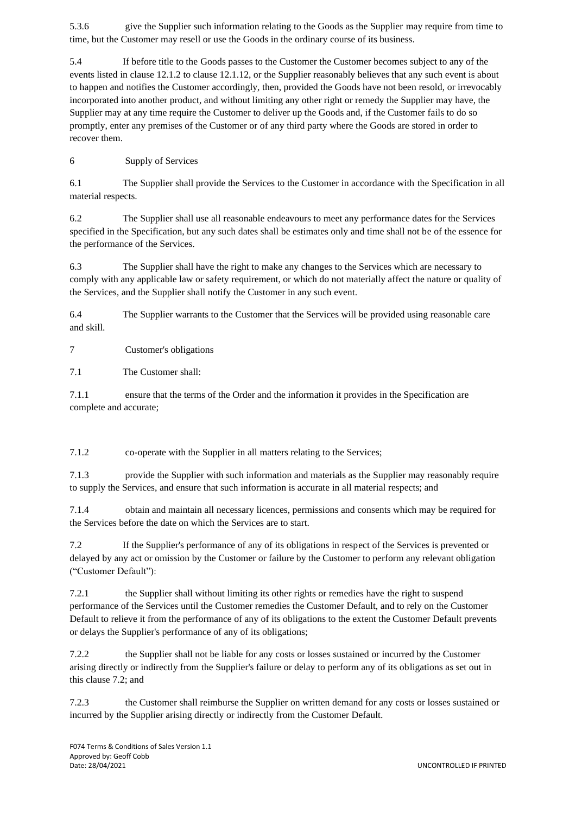5.3.6 give the Supplier such information relating to the Goods as the Supplier may require from time to time, but the Customer may resell or use the Goods in the ordinary course of its business.

5.4 If before title to the Goods passes to the Customer the Customer becomes subject to any of the events listed in clause 12.1.2 to clause 12.1.12, or the Supplier reasonably believes that any such event is about to happen and notifies the Customer accordingly, then, provided the Goods have not been resold, or irrevocably incorporated into another product, and without limiting any other right or remedy the Supplier may have, the Supplier may at any time require the Customer to deliver up the Goods and, if the Customer fails to do so promptly, enter any premises of the Customer or of any third party where the Goods are stored in order to recover them.

6 Supply of Services

6.1 The Supplier shall provide the Services to the Customer in accordance with the Specification in all material respects.

6.2 The Supplier shall use all reasonable endeavours to meet any performance dates for the Services specified in the Specification, but any such dates shall be estimates only and time shall not be of the essence for the performance of the Services.

6.3 The Supplier shall have the right to make any changes to the Services which are necessary to comply with any applicable law or safety requirement, or which do not materially affect the nature or quality of the Services, and the Supplier shall notify the Customer in any such event.

6.4 The Supplier warrants to the Customer that the Services will be provided using reasonable care and skill.

7 Customer's obligations

7.1 The Customer shall:

7.1.1 ensure that the terms of the Order and the information it provides in the Specification are complete and accurate;

7.1.2 co-operate with the Supplier in all matters relating to the Services;

7.1.3 provide the Supplier with such information and materials as the Supplier may reasonably require to supply the Services, and ensure that such information is accurate in all material respects; and

7.1.4 obtain and maintain all necessary licences, permissions and consents which may be required for the Services before the date on which the Services are to start.

7.2 If the Supplier's performance of any of its obligations in respect of the Services is prevented or delayed by any act or omission by the Customer or failure by the Customer to perform any relevant obligation ("Customer Default"):

7.2.1 the Supplier shall without limiting its other rights or remedies have the right to suspend performance of the Services until the Customer remedies the Customer Default, and to rely on the Customer Default to relieve it from the performance of any of its obligations to the extent the Customer Default prevents or delays the Supplier's performance of any of its obligations;

7.2.2 the Supplier shall not be liable for any costs or losses sustained or incurred by the Customer arising directly or indirectly from the Supplier's failure or delay to perform any of its obligations as set out in this clause 7.2; and

7.2.3 the Customer shall reimburse the Supplier on written demand for any costs or losses sustained or incurred by the Supplier arising directly or indirectly from the Customer Default.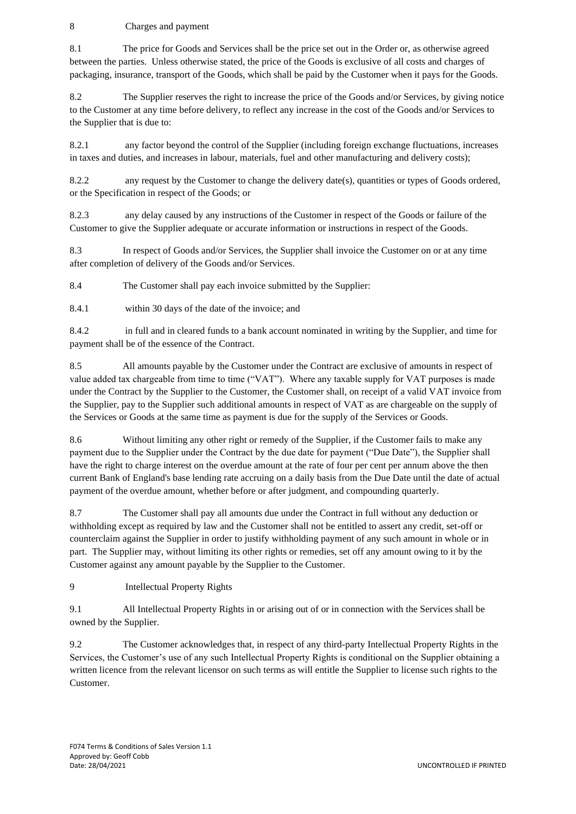# 8 Charges and payment

8.1 The price for Goods and Services shall be the price set out in the Order or, as otherwise agreed between the parties. Unless otherwise stated, the price of the Goods is exclusive of all costs and charges of packaging, insurance, transport of the Goods, which shall be paid by the Customer when it pays for the Goods.

8.2 The Supplier reserves the right to increase the price of the Goods and/or Services, by giving notice to the Customer at any time before delivery, to reflect any increase in the cost of the Goods and/or Services to the Supplier that is due to:

8.2.1 any factor beyond the control of the Supplier (including foreign exchange fluctuations, increases in taxes and duties, and increases in labour, materials, fuel and other manufacturing and delivery costs);

8.2.2 any request by the Customer to change the delivery date(s), quantities or types of Goods ordered, or the Specification in respect of the Goods; or

8.2.3 any delay caused by any instructions of the Customer in respect of the Goods or failure of the Customer to give the Supplier adequate or accurate information or instructions in respect of the Goods.

8.3 In respect of Goods and/or Services, the Supplier shall invoice the Customer on or at any time after completion of delivery of the Goods and/or Services.

8.4 The Customer shall pay each invoice submitted by the Supplier:

8.4.1 within 30 days of the date of the invoice; and

8.4.2 in full and in cleared funds to a bank account nominated in writing by the Supplier, and time for payment shall be of the essence of the Contract.

8.5 All amounts payable by the Customer under the Contract are exclusive of amounts in respect of value added tax chargeable from time to time ("VAT"). Where any taxable supply for VAT purposes is made under the Contract by the Supplier to the Customer, the Customer shall, on receipt of a valid VAT invoice from the Supplier, pay to the Supplier such additional amounts in respect of VAT as are chargeable on the supply of the Services or Goods at the same time as payment is due for the supply of the Services or Goods.

8.6 Without limiting any other right or remedy of the Supplier, if the Customer fails to make any payment due to the Supplier under the Contract by the due date for payment ("Due Date"), the Supplier shall have the right to charge interest on the overdue amount at the rate of four per cent per annum above the then current Bank of England's base lending rate accruing on a daily basis from the Due Date until the date of actual payment of the overdue amount, whether before or after judgment, and compounding quarterly.

8.7 The Customer shall pay all amounts due under the Contract in full without any deduction or withholding except as required by law and the Customer shall not be entitled to assert any credit, set-off or counterclaim against the Supplier in order to justify withholding payment of any such amount in whole or in part. The Supplier may, without limiting its other rights or remedies, set off any amount owing to it by the Customer against any amount payable by the Supplier to the Customer.

9 Intellectual Property Rights

9.1 All Intellectual Property Rights in or arising out of or in connection with the Services shall be owned by the Supplier.

9.2 The Customer acknowledges that, in respect of any third-party Intellectual Property Rights in the Services, the Customer's use of any such Intellectual Property Rights is conditional on the Supplier obtaining a written licence from the relevant licensor on such terms as will entitle the Supplier to license such rights to the Customer.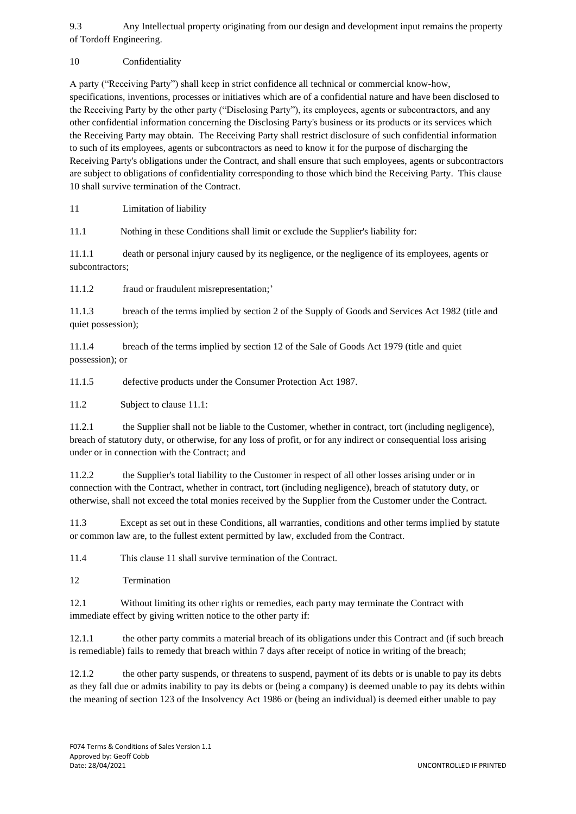9.3 Any Intellectual property originating from our design and development input remains the property of Tordoff Engineering.

10 Confidentiality

A party ("Receiving Party") shall keep in strict confidence all technical or commercial know-how, specifications, inventions, processes or initiatives which are of a confidential nature and have been disclosed to the Receiving Party by the other party ("Disclosing Party"), its employees, agents or subcontractors, and any other confidential information concerning the Disclosing Party's business or its products or its services which the Receiving Party may obtain. The Receiving Party shall restrict disclosure of such confidential information to such of its employees, agents or subcontractors as need to know it for the purpose of discharging the Receiving Party's obligations under the Contract, and shall ensure that such employees, agents or subcontractors are subject to obligations of confidentiality corresponding to those which bind the Receiving Party. This clause 10 shall survive termination of the Contract.

11 Limitation of liability

11.1 Nothing in these Conditions shall limit or exclude the Supplier's liability for:

11.1.1 death or personal injury caused by its negligence, or the negligence of its employees, agents or subcontractors;

11.1.2 fraud or fraudulent misrepresentation;'

11.1.3 breach of the terms implied by section 2 of the Supply of Goods and Services Act 1982 (title and quiet possession);

11.1.4 breach of the terms implied by section 12 of the Sale of Goods Act 1979 (title and quiet possession); or

11.1.5 defective products under the Consumer Protection Act 1987.

11.2 Subject to clause 11.1:

11.2.1 the Supplier shall not be liable to the Customer, whether in contract, tort (including negligence), breach of statutory duty, or otherwise, for any loss of profit, or for any indirect or consequential loss arising under or in connection with the Contract; and

11.2.2 the Supplier's total liability to the Customer in respect of all other losses arising under or in connection with the Contract, whether in contract, tort (including negligence), breach of statutory duty, or otherwise, shall not exceed the total monies received by the Supplier from the Customer under the Contract.

11.3 Except as set out in these Conditions, all warranties, conditions and other terms implied by statute or common law are, to the fullest extent permitted by law, excluded from the Contract.

11.4 This clause 11 shall survive termination of the Contract.

12 Termination

12.1 Without limiting its other rights or remedies, each party may terminate the Contract with immediate effect by giving written notice to the other party if:

12.1.1 the other party commits a material breach of its obligations under this Contract and (if such breach is remediable) fails to remedy that breach within 7 days after receipt of notice in writing of the breach;

12.1.2 the other party suspends, or threatens to suspend, payment of its debts or is unable to pay its debts as they fall due or admits inability to pay its debts or (being a company) is deemed unable to pay its debts within the meaning of section 123 of the Insolvency Act 1986 or (being an individual) is deemed either unable to pay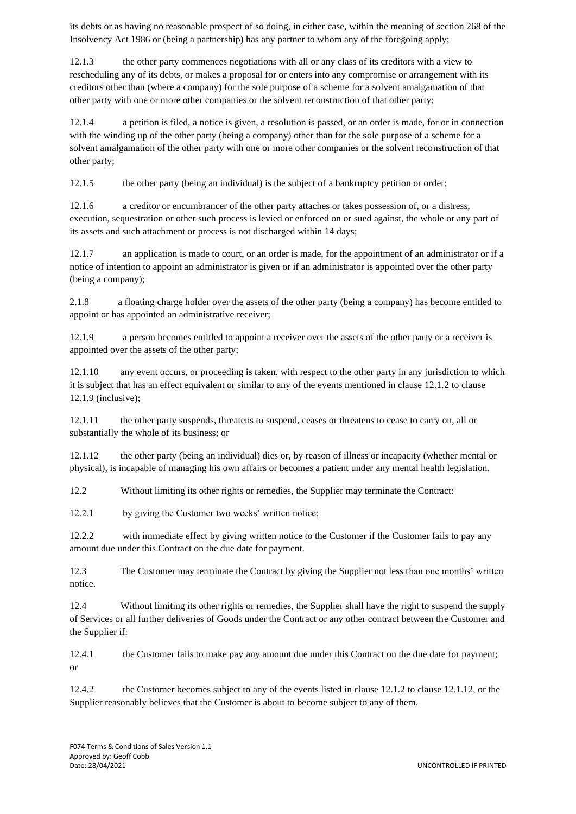its debts or as having no reasonable prospect of so doing, in either case, within the meaning of section 268 of the Insolvency Act 1986 or (being a partnership) has any partner to whom any of the foregoing apply;

12.1.3 the other party commences negotiations with all or any class of its creditors with a view to rescheduling any of its debts, or makes a proposal for or enters into any compromise or arrangement with its creditors other than (where a company) for the sole purpose of a scheme for a solvent amalgamation of that other party with one or more other companies or the solvent reconstruction of that other party;

12.1.4 a petition is filed, a notice is given, a resolution is passed, or an order is made, for or in connection with the winding up of the other party (being a company) other than for the sole purpose of a scheme for a solvent amalgamation of the other party with one or more other companies or the solvent reconstruction of that other party;

12.1.5 the other party (being an individual) is the subject of a bankruptcy petition or order;

12.1.6 a creditor or encumbrancer of the other party attaches or takes possession of, or a distress, execution, sequestration or other such process is levied or enforced on or sued against, the whole or any part of its assets and such attachment or process is not discharged within 14 days;

12.1.7 an application is made to court, or an order is made, for the appointment of an administrator or if a notice of intention to appoint an administrator is given or if an administrator is appointed over the other party (being a company);

2.1.8 a floating charge holder over the assets of the other party (being a company) has become entitled to appoint or has appointed an administrative receiver;

12.1.9 a person becomes entitled to appoint a receiver over the assets of the other party or a receiver is appointed over the assets of the other party;

12.1.10 any event occurs, or proceeding is taken, with respect to the other party in any jurisdiction to which it is subject that has an effect equivalent or similar to any of the events mentioned in clause 12.1.2 to clause 12.1.9 (inclusive);

12.1.11 the other party suspends, threatens to suspend, ceases or threatens to cease to carry on, all or substantially the whole of its business; or

12.1.12 the other party (being an individual) dies or, by reason of illness or incapacity (whether mental or physical), is incapable of managing his own affairs or becomes a patient under any mental health legislation.

12.2 Without limiting its other rights or remedies, the Supplier may terminate the Contract:

12.2.1 by giving the Customer two weeks' written notice;

12.2.2 with immediate effect by giving written notice to the Customer if the Customer fails to pay any amount due under this Contract on the due date for payment.

12.3 The Customer may terminate the Contract by giving the Supplier not less than one months' written notice.

12.4 Without limiting its other rights or remedies, the Supplier shall have the right to suspend the supply of Services or all further deliveries of Goods under the Contract or any other contract between the Customer and the Supplier if:

12.4.1 the Customer fails to make pay any amount due under this Contract on the due date for payment; or

12.4.2 the Customer becomes subject to any of the events listed in clause 12.1.2 to clause 12.1.12, or the Supplier reasonably believes that the Customer is about to become subject to any of them.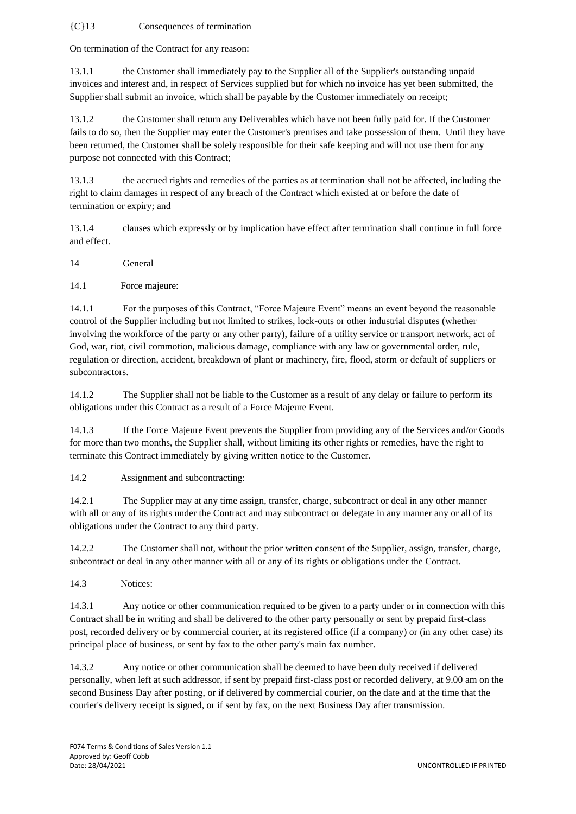### {C}13 Consequences of termination

On termination of the Contract for any reason:

13.1.1 the Customer shall immediately pay to the Supplier all of the Supplier's outstanding unpaid invoices and interest and, in respect of Services supplied but for which no invoice has yet been submitted, the Supplier shall submit an invoice, which shall be payable by the Customer immediately on receipt;

13.1.2 the Customer shall return any Deliverables which have not been fully paid for. If the Customer fails to do so, then the Supplier may enter the Customer's premises and take possession of them. Until they have been returned, the Customer shall be solely responsible for their safe keeping and will not use them for any purpose not connected with this Contract;

13.1.3 the accrued rights and remedies of the parties as at termination shall not be affected, including the right to claim damages in respect of any breach of the Contract which existed at or before the date of termination or expiry; and

13.1.4 clauses which expressly or by implication have effect after termination shall continue in full force and effect.

14 General

14.1 Force majeure:

14.1.1 For the purposes of this Contract, "Force Majeure Event" means an event beyond the reasonable control of the Supplier including but not limited to strikes, lock-outs or other industrial disputes (whether involving the workforce of the party or any other party), failure of a utility service or transport network, act of God, war, riot, civil commotion, malicious damage, compliance with any law or governmental order, rule, regulation or direction, accident, breakdown of plant or machinery, fire, flood, storm or default of suppliers or subcontractors.

14.1.2 The Supplier shall not be liable to the Customer as a result of any delay or failure to perform its obligations under this Contract as a result of a Force Majeure Event.

14.1.3 If the Force Majeure Event prevents the Supplier from providing any of the Services and/or Goods for more than two months, the Supplier shall, without limiting its other rights or remedies, have the right to terminate this Contract immediately by giving written notice to the Customer.

14.2 Assignment and subcontracting:

14.2.1 The Supplier may at any time assign, transfer, charge, subcontract or deal in any other manner with all or any of its rights under the Contract and may subcontract or delegate in any manner any or all of its obligations under the Contract to any third party.

14.2.2 The Customer shall not, without the prior written consent of the Supplier, assign, transfer, charge, subcontract or deal in any other manner with all or any of its rights or obligations under the Contract.

14.3 Notices:

14.3.1 Any notice or other communication required to be given to a party under or in connection with this Contract shall be in writing and shall be delivered to the other party personally or sent by prepaid first-class post, recorded delivery or by commercial courier, at its registered office (if a company) or (in any other case) its principal place of business, or sent by fax to the other party's main fax number.

14.3.2 Any notice or other communication shall be deemed to have been duly received if delivered personally, when left at such addressor, if sent by prepaid first-class post or recorded delivery, at 9.00 am on the second Business Day after posting, or if delivered by commercial courier, on the date and at the time that the courier's delivery receipt is signed, or if sent by fax, on the next Business Day after transmission.